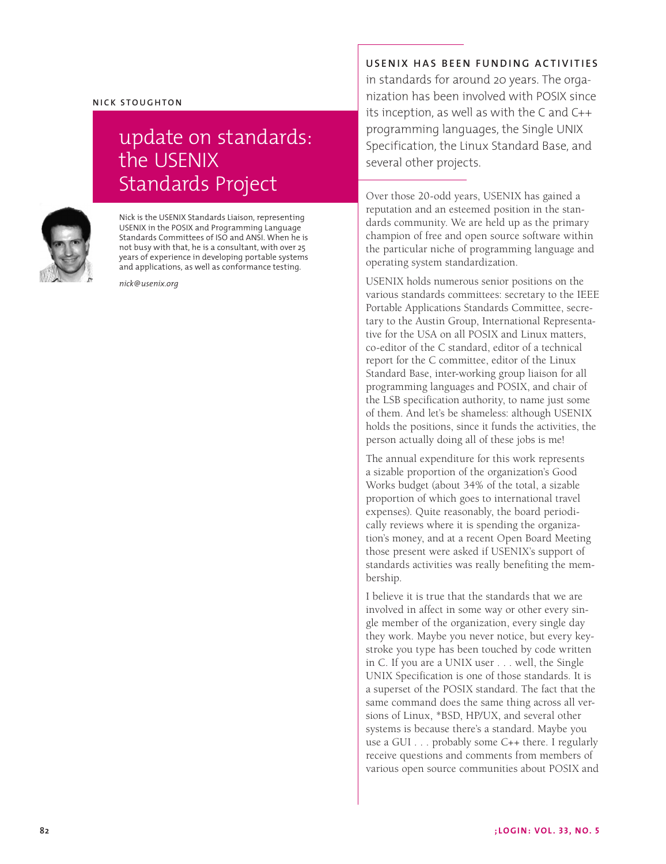## **NICK STOUGHTON**

## update on standards: the USENIX Standards Project



Nick is the USENIX Standards Liaison, representing USENIX in the POSIX and Programming Language Standards Committees of ISO and ANSI. When he is not busy with that, he is a consultant, with over 25 years of experience in developing portable systems and applications, as well as conformance testing.

*nick@usenix.org*

**USENIX HAS BEEN FUNDING ACTIVITIES** 

in standards for around 20 years. The organization has been involved with POSIX since its inception, as well as with the C and C++ programming languages, the Single UNIX Specification, the Linux Standard Base, and several other projects.

Over those 20-odd years, USENIX has gained a reputation and an esteemed position in the standards community. We are held up as the primary champion of free and open source software within the particular niche of programming language and operating system standardization.

USENIX holds numerous senior positions on the various standards committees: secretary to the IEEE Portable Applications Standards Committee, secretary to the Austin Group, International Representative for the USA on all POSIX and Linux matters, co-editor of the C standard, editor of a technical report for the C committee, editor of the Linux Standard Base, inter-working group liaison for all programming languages and POSIX, and chair of the LSB specification authority, to name just some of them. And let's be shameless: although USENIX holds the positions, since it funds the activities, the person actually doing all of these jobs is me!

The annual expenditure for this work represents a sizable proportion of the organization's Good Works budget (about 34% of the total, a sizable proportion of which goes to international travel expenses). Quite reasonably, the board periodically reviews where it is spending the organization's money, and at a recent Open Board Meeting those present were asked if USENIX's support of standards activities was really benefiting the membership.

I believe it is true that the standards that we are involved in affect in some way or other every single member of the organization, every single day they work. Maybe you never notice, but every keystroke you type has been touched by code written in C. If you are a UNIX user . . . well, the Single UNIX Specification is one of those standards. It is a superset of the POSIX standard. The fact that the same command does the same thing across all versions of Linux, \*BSD, HP/UX, and several other systems is because there's a standard. Maybe you use a GUI . . . probably some C++ there. I regularly receive questions and comments from members of various open source communities about POSIX and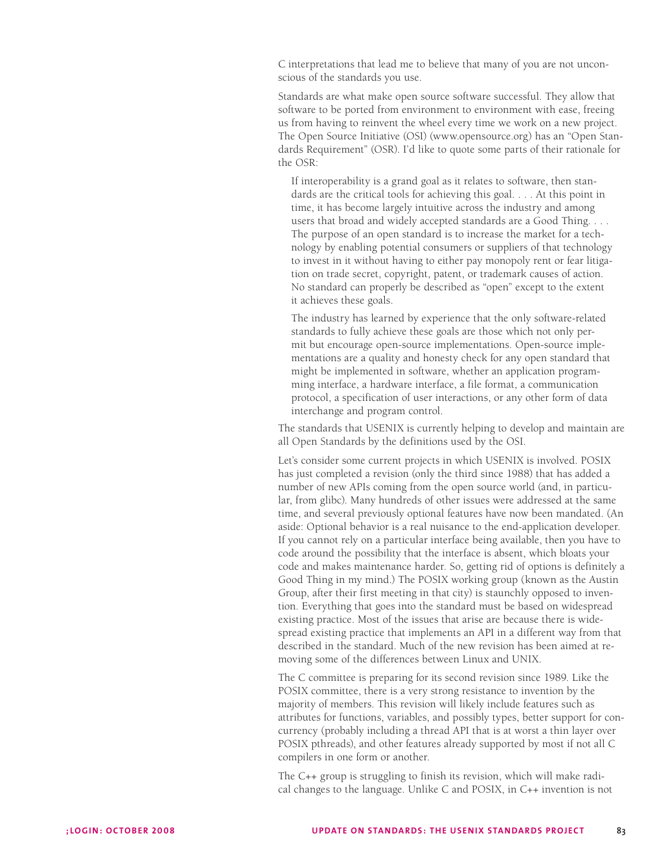C interpretations that lead me to believe that many of you are not unconscious of the standards you use.

Standards are what make open source software successful. They allow that software to be ported from environment to environment with ease, freeing us from having to reinvent the wheel every time we work on a new project. The Open Source Initiative (OSI) (www.opensource.org) has an "Open Standards Requirement" (OSR). I'd like to quote some parts of their rationale for the OSR:

If interoperability is a grand goal as it relates to software, then standards are the critical tools for achieving this goal. . . . At this point in time, it has become largely intuitive across the industry and among users that broad and widely accepted standards are a Good Thing. . . . The purpose of an open standard is to increase the market for a technology by enabling potential consumers or suppliers of that technology to invest in it without having to either pay monopoly rent or fear litigation on trade secret, copyright, patent, or trademark causes of action. No standard can properly be described as "open" except to the extent it achieves these goals.

The industry has learned by experience that the only software-related standards to fully achieve these goals are those which not only permit but encourage open-source implementations. Open-source implementations are a quality and honesty check for any open standard that might be implemented in software, whether an application programming interface, a hardware interface, a file format, a communication protocol, a specification of user interactions, or any other form of data interchange and program control.

The standards that USENIX is currently helping to develop and maintain are all Open Standards by the definitions used by the OSI.

Let's consider some current projects in which USENIX is involved. POSIX has just completed a revision (only the third since 1988) that has added a number of new APIs coming from the open source world (and, in particular, from glibc). Many hundreds of other issues were addressed at the same time, and several previously optional features have now been mandated. (An aside: Optional behavior is a real nuisance to the end-application developer. If you cannot rely on a particular interface being available, then you have to code around the possibility that the interface is absent, which bloats your code and makes maintenance harder. So, getting rid of options is definitely a Good Thing in my mind.) The POSIX working group (known as the Austin Group, after their first meeting in that city) is staunchly opposed to invention. Everything that goes into the standard must be based on widespread existing practice. Most of the issues that arise are because there is widespread existing practice that implements an API in a different way from that described in the standard. Much of the new revision has been aimed at removing some of the differences between Linux and UNIX.

The C committee is preparing for its second revision since 1989. Like the POSIX committee, there is a very strong resistance to invention by the majority of members. This revision will likely include features such as attributes for functions, variables, and possibly types, better support for concurrency (probably including a thread API that is at worst a thin layer over POSIX pthreads), and other features already supported by most if not all C compilers in one form or another.

The C++ group is struggling to finish its revision, which will make radical changes to the language. Unlike C and POSIX, in C++ invention is not